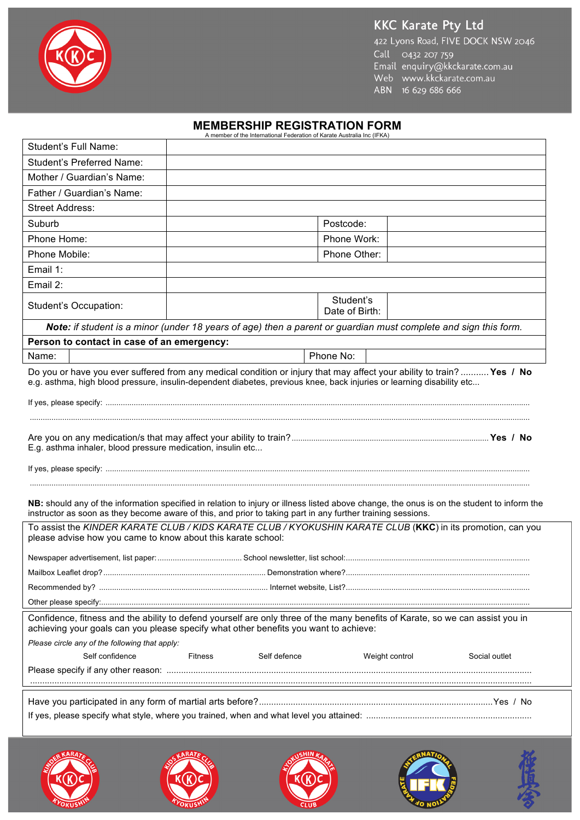## **KKC Karate Pty Ltd**



422 Lyons Road, FIVE DOCK NSW 2046 Call 0432 207 759<br>Email enquiry@kkckarate.com.au<br>Web www.kkckarate.com.au ABN 16 629 686 666

## **MEMBERSHIP REGISTRATION FORM** A member of the International Federation of Karate Australia Inc (IFKA)

| Student's Full Name:                                                                                                                                                                                                                                      |                |              |                             |                |               |  |  |
|-----------------------------------------------------------------------------------------------------------------------------------------------------------------------------------------------------------------------------------------------------------|----------------|--------------|-----------------------------|----------------|---------------|--|--|
| <b>Student's Preferred Name:</b>                                                                                                                                                                                                                          |                |              |                             |                |               |  |  |
| Mother / Guardian's Name:                                                                                                                                                                                                                                 |                |              |                             |                |               |  |  |
| Father / Guardian's Name:                                                                                                                                                                                                                                 |                |              |                             |                |               |  |  |
| <b>Street Address:</b>                                                                                                                                                                                                                                    |                |              |                             |                |               |  |  |
| Suburb                                                                                                                                                                                                                                                    |                |              | Postcode:                   |                |               |  |  |
| Phone Home:                                                                                                                                                                                                                                               |                |              | Phone Work:                 |                |               |  |  |
| Phone Mobile:                                                                                                                                                                                                                                             |                |              | Phone Other:                |                |               |  |  |
| Email 1:                                                                                                                                                                                                                                                  |                |              |                             |                |               |  |  |
| Email 2:                                                                                                                                                                                                                                                  |                |              |                             |                |               |  |  |
| Student's Occupation:                                                                                                                                                                                                                                     |                |              | Student's<br>Date of Birth: |                |               |  |  |
| Note: if student is a minor (under 18 years of age) then a parent or guardian must complete and sign this form.                                                                                                                                           |                |              |                             |                |               |  |  |
| Person to contact in case of an emergency:                                                                                                                                                                                                                |                |              |                             |                |               |  |  |
| Name:                                                                                                                                                                                                                                                     |                |              | Phone No:                   |                |               |  |  |
| Do you or have you ever suffered from any medical condition or injury that may affect your ability to train? Yes / No<br>e.g. asthma, high blood pressure, insulin-dependent diabetes, previous knee, back injuries or learning disability etc            |                |              |                             |                |               |  |  |
|                                                                                                                                                                                                                                                           |                |              |                             |                |               |  |  |
| E.g. asthma inhaler, blood pressure medication, insulin etc                                                                                                                                                                                               |                |              |                             |                |               |  |  |
| NB: should any of the information specified in relation to injury or illness listed above change, the onus is on the student to inform the<br>instructor as soon as they become aware of this, and prior to taking part in any further training sessions. |                |              |                             |                |               |  |  |
| To assist the KINDER KARATE CLUB / KIDS KARATE CLUB / KYOKUSHIN KARATE CLUB (KKC) in its promotion, can you<br>please advise how you came to know about this karate school:                                                                               |                |              |                             |                |               |  |  |
|                                                                                                                                                                                                                                                           |                |              |                             |                |               |  |  |
|                                                                                                                                                                                                                                                           |                |              |                             |                |               |  |  |
|                                                                                                                                                                                                                                                           |                |              |                             |                |               |  |  |
|                                                                                                                                                                                                                                                           |                |              |                             |                |               |  |  |
| Confidence, fitness and the ability to defend yourself are only three of the many benefits of Karate, so we can assist you in<br>achieving your goals can you please specify what other benefits you want to achieve:                                     |                |              |                             |                |               |  |  |
| Please circle any of the following that apply:                                                                                                                                                                                                            |                |              |                             |                |               |  |  |
| Self confidence                                                                                                                                                                                                                                           | <b>Fitness</b> | Self defence |                             | Weight control | Social outlet |  |  |
|                                                                                                                                                                                                                                                           |                |              |                             |                |               |  |  |
|                                                                                                                                                                                                                                                           |                |              |                             |                |               |  |  |